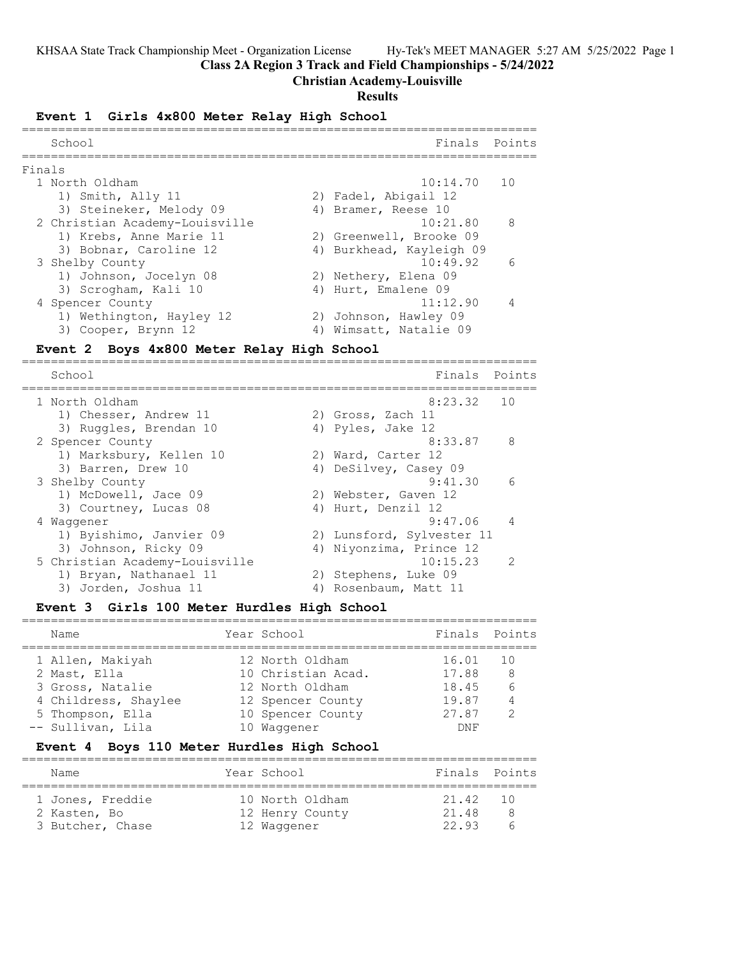**Class 2A Region 3 Track and Field Championships - 5/24/2022**

## **Christian Academy-Louisville**

#### **Results**

#### **Event 1 Girls 4x800 Meter Relay High School**

| School                         | Finals Points |                                                                                                                                                                                                      |
|--------------------------------|---------------|------------------------------------------------------------------------------------------------------------------------------------------------------------------------------------------------------|
| Finals                         |               |                                                                                                                                                                                                      |
| 1 North Oldham                 | $10:14.70$ 10 |                                                                                                                                                                                                      |
| 1) Smith, Ally 11              |               |                                                                                                                                                                                                      |
| 3) Steineker, Melody 09        |               |                                                                                                                                                                                                      |
| 2 Christian Academy-Louisville | 10:21.80      | $\mathcal{R}$                                                                                                                                                                                        |
| 1) Krebs, Anne Marie 11        |               |                                                                                                                                                                                                      |
| 3) Bobnar, Caroline 12         |               |                                                                                                                                                                                                      |
| 3 Shelby County                | 10:49.92      | $\epsilon$                                                                                                                                                                                           |
| 1) Johnson, Jocelyn 08         |               |                                                                                                                                                                                                      |
| 3) Scrogham, Kali 10           |               |                                                                                                                                                                                                      |
| 4 Spencer County               | 11:12.90      |                                                                                                                                                                                                      |
| 1) Wethington, Hayley 12       |               |                                                                                                                                                                                                      |
| 3) Cooper, Brynn 12            |               |                                                                                                                                                                                                      |
|                                |               | 2) Fadel, Abigail 12<br>4) Bramer, Reese 10<br>2) Greenwell, Brooke 09<br>4) Burkhead, Kayleigh 09<br>2) Nethery, Elena 09<br>4) Hurt, Emalene 09<br>2) Johnson, Hawley 09<br>4) Wimsatt, Natalie 09 |

#### **Event 2 Boys 4x800 Meter Relay High School**

======================================================================= School Finals Points ======================================================================= 1 North Oldham 8:23.32 10 1) Chesser, Andrew 11 2) Gross, Zach 11 3) Ruggles, Brendan 10 (4) Pyles, Jake 12 2 Spencer County **8:33.87** 8 1) Marksbury, Kellen 10 2) Ward, Carter 12 3) Barren, Drew 10 4) DeSilvey, Casey 09 3 Shelby County 9:41.30 6 1) McDowell, Jace 09 2) Webster, Gaven 12 3) Courtney, Lucas 08 4) Hurt, Denzil 12 4 Waggener 9:47.06 4 1) Byishimo, Janvier 09 2) Lunsford, Sylvester 11 3) Johnson, Ricky 09 4) Niyonzima, Prince 12 5 Christian Academy-Louisville 10:15.23 2 1) Bryan, Nathanael 11 2) Stephens, Luke 09 3) Jorden, Joshua 11 4) Rosenbaum, Matt 11

#### **Event 3 Girls 100 Meter Hurdles High School**

| Name                 | Year School        | Finals Points |                |
|----------------------|--------------------|---------------|----------------|
| 1 Allen, Makiyah     | 12 North Oldham    | 16.01         | - 10           |
| 2 Mast, Ella         | 10 Christian Acad. | 17.88         | -8             |
| 3 Gross, Natalie     | 12 North Oldham    | 18.45         | 6              |
| 4 Childress, Shaylee | 12 Spencer County  | 19.87         | $\overline{4}$ |
| 5 Thompson, Ella     | 10 Spencer County  | 27.87         | $\mathcal{D}$  |
| -- Sullivan, Lila    | 10 Waqqener        | DNF           |                |

#### **Event 4 Boys 110 Meter Hurdles High School**

| Name                                                 | Year School                                       |                           | Finals Points |
|------------------------------------------------------|---------------------------------------------------|---------------------------|---------------|
| 1 Jones, Freddie<br>2 Kasten, Bo<br>3 Butcher, Chase | 10 North Oldham<br>12 Henry County<br>12 Waqqener | 21.42 10<br>21.48<br>2293 |               |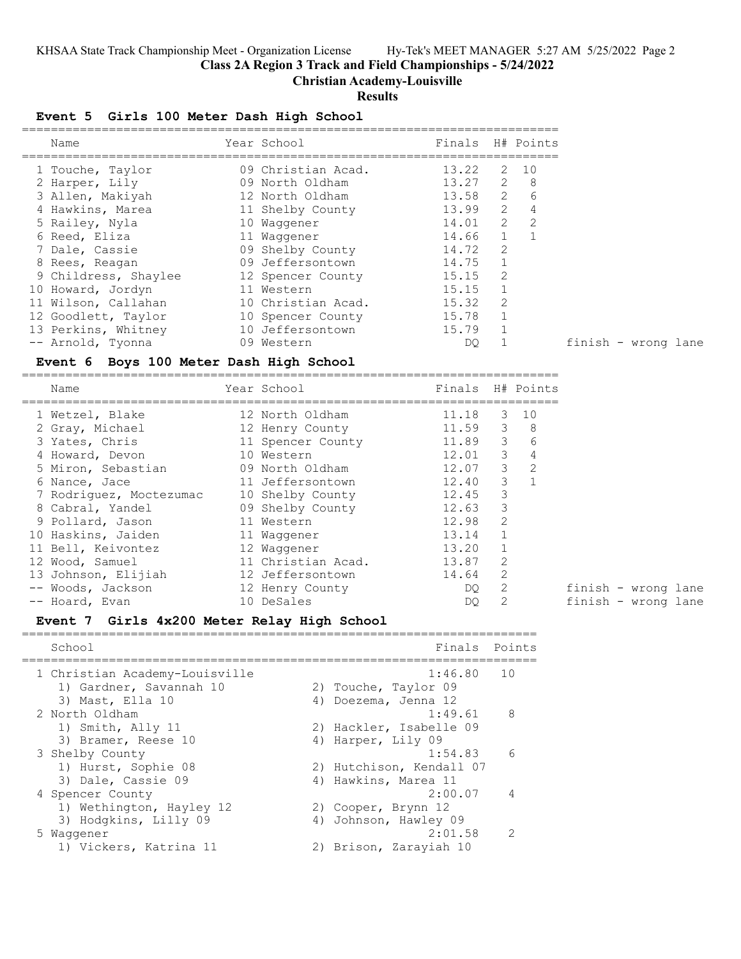**Class 2A Region 3 Track and Field Championships - 5/24/2022**

**Christian Academy-Louisville**

### **Results**

## **Event 5 Girls 100 Meter Dash High School**

| Name                 | Year School        | Finals |               | H# Points     |
|----------------------|--------------------|--------|---------------|---------------|
| 1 Touche, Taylor     | 09 Christian Acad. | 13.22  | 2             | 10            |
| 2 Harper, Lily       | 09 North Oldham    | 13.27  | $\mathcal{L}$ | 8             |
| 3 Allen, Makiyah     | 12 North Oldham    | 13.58  | $\mathcal{L}$ | 6             |
| 4 Hawkins, Marea     | 11 Shelby County   | 13.99  | $\mathcal{L}$ | 4             |
| 5 Railey, Nyla       | 10 Waqqener        | 14.01  | $\mathcal{L}$ | $\mathcal{L}$ |
| 6 Reed, Eliza        | 11 Waqqener        | 14.66  | $\mathbf{1}$  |               |
| 7 Dale, Cassie       | 09 Shelby County   | 14.72  | $\mathcal{L}$ |               |
| 8 Rees, Reagan       | 09 Jeffersontown   | 14.75  | 1             |               |
| 9 Childress, Shaylee | 12 Spencer County  | 15.15  | $\mathcal{L}$ |               |
| 10 Howard, Jordyn    | 11 Western         | 15.15  |               |               |
| 11 Wilson, Callahan  | 10 Christian Acad. | 15.32  | 2             |               |
| 12 Goodlett, Taylor  | 10 Spencer County  | 15.78  | 1             |               |
| 13 Perkins, Whitney  | 10 Jeffersontown   | 15.79  |               |               |
| -- Arnold, Tyonna    | 09 Western         | DO     |               |               |

#### **Event 6 Boys 100 Meter Dash High School**

==========================================================================

| Name                    | Year School        | Finals |               | H# Points      |                     |
|-------------------------|--------------------|--------|---------------|----------------|---------------------|
| 1 Wetzel, Blake         | 12 North Oldham    | 11.18  | 3             | 10             |                     |
| 2 Gray, Michael         | 12 Henry County    | 11.59  | 3             | -8             |                     |
| 3 Yates, Chris          | 11 Spencer County  | 11.89  | 3             | 6              |                     |
| 4 Howard, Devon         | 10 Western         | 12.01  | 3             | 4              |                     |
| 5 Miron, Sebastian      | 09 North Oldham    | 12.07  | $\mathcal{E}$ | 2              |                     |
| 6 Nance, Jace           | 11 Jeffersontown   | 12.40  | $\mathcal{E}$ | $\overline{1}$ |                     |
| 7 Rodriguez, Moctezumac | 10 Shelby County   | 12.45  | 3             |                |                     |
| 8 Cabral, Yandel        | 09 Shelby County   | 12.63  | 3             |                |                     |
| 9 Pollard, Jason        | 11 Western         | 12.98  | 2             |                |                     |
| 10 Haskins, Jaiden      | 11 Waqqener        | 13.14  |               |                |                     |
| 11 Bell, Keivontez      | 12 Waqqener        | 13.20  |               |                |                     |
| 12 Wood, Samuel         | 11 Christian Acad. | 13.87  | 2             |                |                     |
| 13 Johnson, Elijiah     | 12 Jeffersontown   | 14.64  | 2             |                |                     |
| -- Woods, Jackson       | 12 Henry County    | DQ.    |               |                | finish - wrong lane |
| -- Hoard, Evan          | 10 DeSales         | DQ.    |               |                | finish - wrong lane |

#### **Event 7 Girls 4x200 Meter Relay High School**

| School                                                    | Finals Points                   |                |
|-----------------------------------------------------------|---------------------------------|----------------|
| 1 Christian Academy-Louisville<br>1) Gardner, Savannah 10 | 1:46.80<br>2) Touche, Taylor 09 | 1 O            |
| 3) Mast, Ella 10                                          | 4) Doezema, Jenna 12            |                |
| 2 North Oldham                                            | 1:49.61                         | - 8            |
| 1) Smith, Ally 11                                         | 2) Hackler, Isabelle 09         |                |
| 3) Bramer, Reese 10                                       | 4) Harper, Lily 09              |                |
| 3 Shelby County                                           | 1:54.83                         | 6              |
| 1) Hurst, Sophie 08                                       | 2) Hutchison, Kendall 07        |                |
| 3) Dale, Cassie 09                                        | 4) Hawkins, Marea 11            |                |
| 4 Spencer County                                          | 2:00.07                         | $\overline{4}$ |
| 1) Wethington, Hayley 12                                  | 2) Cooper, Brynn 12             |                |
| 3) Hodgkins, Lilly 09                                     | 4) Johnson, Hawley 09           |                |
| 5 Waqqener                                                | 2:01.58                         | 2              |
| 1) Vickers, Katrina 11                                    | 2) Brison, Zarayiah 10          |                |

finish - wrong lane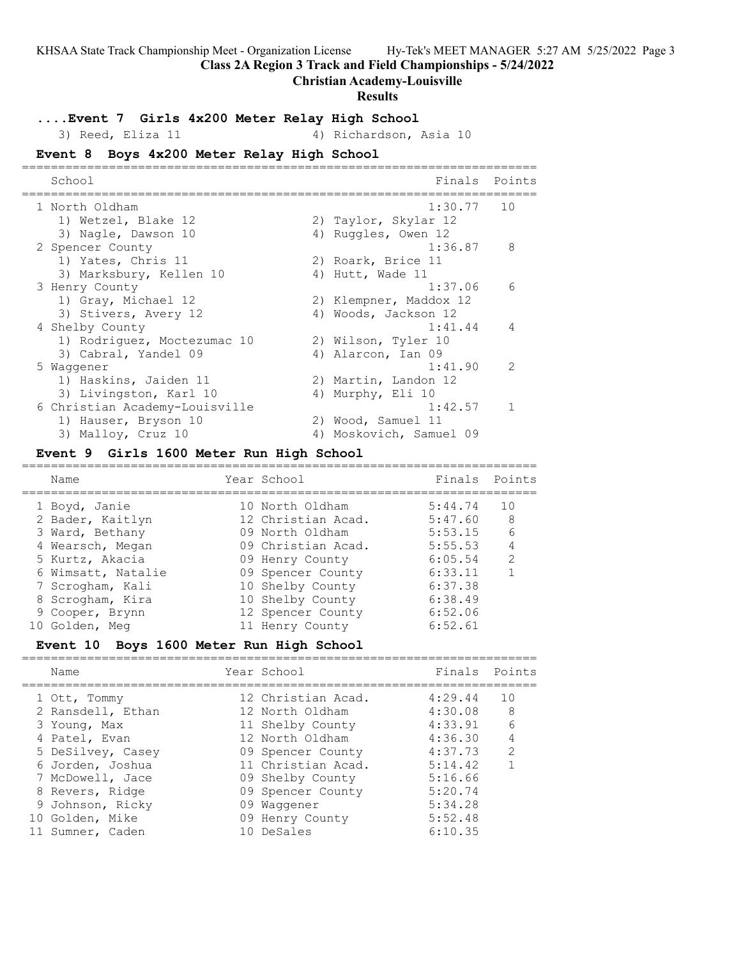**Class 2A Region 3 Track and Field Championships - 5/24/2022**

#### **Christian Academy-Louisville**

## **Results**

#### **....Event 7 Girls 4x200 Meter Relay High School**

3) Reed, Eliza 11 4) Richardson, Asia 10

# **Event 8 Boys 4x200 Meter Relay High School**

| School                         | Finals                  | Points        |
|--------------------------------|-------------------------|---------------|
| 1 North Oldham                 | $1:30.77$ 10            |               |
| 1) Wetzel, Blake 12            | 2) Taylor, Skylar 12    |               |
| 3) Nagle, Dawson 10            | 4) Ruggles, Owen 12     |               |
| 2 Spencer County               | 1:36.87                 | 8             |
| 1) Yates, Chris 11             | 2) Roark, Brice 11      |               |
| 3) Marksbury, Kellen 10        | 4) Hutt, Wade 11        |               |
| 3 Henry County                 | 1:37.06                 | 6             |
| 1) Gray, Michael 12            | 2) Klempner, Maddox 12  |               |
| 3) Stivers, Avery 12           | 4) Woods, Jackson 12    |               |
| 4 Shelby County                | 1:41.44                 | 4             |
| 1) Rodriguez, Moctezumac 10    | 2) Wilson, Tyler 10     |               |
| 3) Cabral, Yandel 09           | 4) Alarcon, Ian 09      |               |
| 5 Waqqener                     | 1:41.90                 | $\mathcal{P}$ |
| 1) Haskins, Jaiden 11          | 2) Martin, Landon 12    |               |
| 3) Livingston, Karl 10         | 4) Murphy, Eli 10       |               |
| 6 Christian Academy-Louisville | 1:42.57                 |               |
| 1) Hauser, Bryson 10           | 2) Wood, Samuel 11      |               |
| 3) Malloy, Cruz 10             | 4) Moskovich, Samuel 09 |               |

#### **Event 9 Girls 1600 Meter Run High School**

| Name               | Year School        | Finals Points |               |
|--------------------|--------------------|---------------|---------------|
| 1 Boyd, Janie      | 10 North Oldham    | 5:44.74       | 10            |
| 2 Bader, Kaitlyn   | 12 Christian Acad. | 5:47.60       | 8             |
| 3 Ward, Bethany    | 09 North Oldham    | 5:53.15       | 6             |
| 4 Wearsch, Megan   | 09 Christian Acad. | 5:55.53       | 4             |
| 5 Kurtz, Akacia    | 09 Henry County    | 6:05.54       | $\mathcal{L}$ |
| 6 Wimsatt, Natalie | 09 Spencer County  | 6:33.11       |               |
| 7 Scrogham, Kali   | 10 Shelby County   | 6:37.38       |               |
| 8 Scrogham, Kira   | 10 Shelby County   | 6:38.49       |               |
| 9 Cooper, Brynn    | 12 Spencer County  | 6:52.06       |               |
| 10 Golden, Meg     | 11 Henry County    | 6:52.61       |               |
|                    |                    |               |               |

#### **Event 10 Boys 1600 Meter Run High School**

| Name                                                                                                        | Year School                                                                                                             | Finals Points                                                  |                                                  |
|-------------------------------------------------------------------------------------------------------------|-------------------------------------------------------------------------------------------------------------------------|----------------------------------------------------------------|--------------------------------------------------|
| 1 Ott, Tommy<br>2 Ransdell, Ethan<br>3 Young, Max<br>4 Patel, Evan<br>5 DeSilvey, Casey<br>6 Jorden, Joshua | 12 Christian Acad.<br>12 North Oldham<br>11 Shelby County<br>12 North Oldham<br>09 Spencer County<br>11 Christian Acad. | 4:29.44<br>4:30.08<br>4:33.91<br>4:36.30<br>4:37.73<br>5:14.42 | 1 O<br>8<br>6<br>$\overline{4}$<br>$\mathcal{L}$ |
| 7 McDowell, Jace<br>8 Revers, Ridge<br>9 Johnson, Ricky<br>10 Golden, Mike<br>11 Sumner, Caden              | 09 Shelby County<br>09 Spencer County<br>09 Waqqener<br>09 Henry County<br>10 DeSales                                   | 5:16.66<br>5:20.74<br>5:34.28<br>5:52.48<br>6:10.35            |                                                  |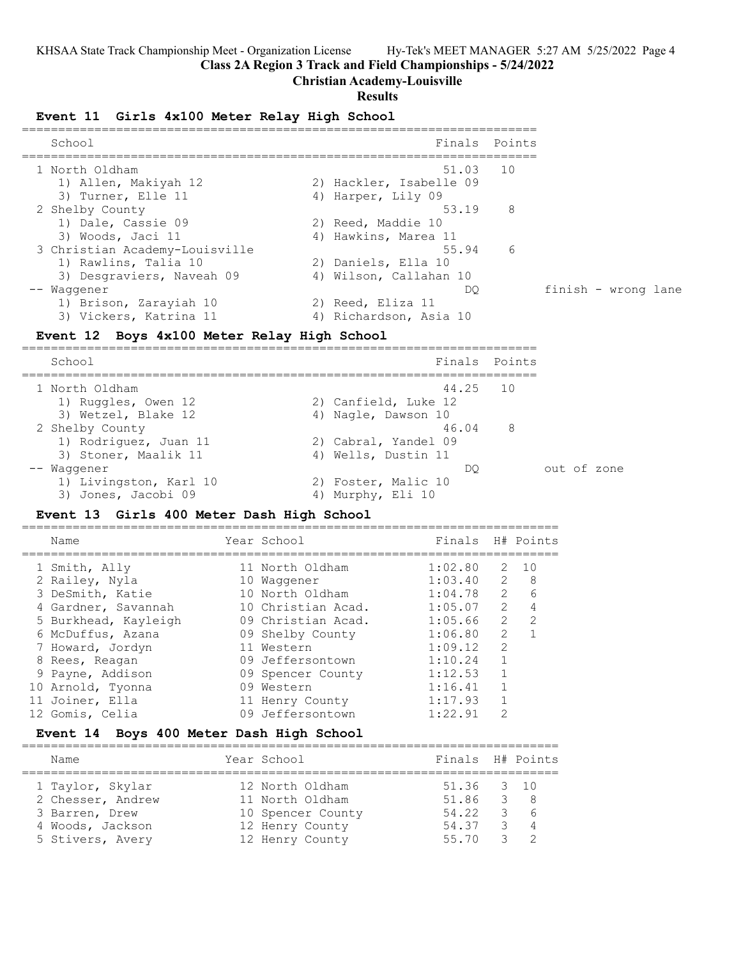**Class 2A Region 3 Track and Field Championships - 5/24/2022**

#### **Christian Academy-Louisville**

#### **Results**

#### **Event 11 Girls 4x100 Meter Relay High School**

| School                         | Finals Points           |   |                     |
|--------------------------------|-------------------------|---|---------------------|
| 1 North Oldham                 | 51.03 10                |   |                     |
| 1) Allen, Makiyah 12           | 2) Hackler, Isabelle 09 |   |                     |
| 3) Turner, Elle 11             | 4) Harper, Lily 09      |   |                     |
| 2 Shelby County                | 53.19                   | 8 |                     |
| 1) Dale, Cassie 09             | 2) Reed, Maddie 10      |   |                     |
| 3) Woods, Jaci 11              | 4) Hawkins, Marea 11    |   |                     |
| 3 Christian Academy-Louisville | 55.94 6                 |   |                     |
| 1) Rawlins, Talia 10           | 2) Daniels, Ella 10     |   |                     |
| 3) Desgraviers, Naveah 09      | 4) Wilson, Callahan 10  |   |                     |
| -- Waqqener                    | DO.                     |   | finish - wrong lane |
| 1) Brison, Zarayiah 10         | 2) Reed, Eliza 11       |   |                     |
| 3) Vickers, Katrina 11         | 4) Richardson, Asia 10  |   |                     |

#### **Event 12 Boys 4x100 Meter Relay High School**

======================================================================= School **Finals Points** ======================================================================= 1 North Oldham 44.25 10 1) Ruggles, Owen 12 2) Canfield, Luke 12 3) Wetzel, Blake 12 (4) Nagle, Dawson 10 2 Shelby County 46.04 8 1) Rodriguez, Juan 11 120 2) Cabral, Yandel 09 3) Stoner, Maalik 11 4) Wells, Dustin 11 -- Waggener DQ out of zone 1) Livingston, Karl 10 2) Foster, Malic 10 3) Jones, Jacobi 09 (4) Murphy, Eli 10

#### **Event 13 Girls 400 Meter Dash High School**

| Name                 | Year School        | Finals  |                | H# Points     |
|----------------------|--------------------|---------|----------------|---------------|
| 1 Smith, Ally        | 11 North Oldham    | 1:02.80 | 2              | 10            |
| 2 Railey, Nyla       | 10 Waqqener        | 1:03.40 | $\overline{2}$ | - 8           |
| 3 DeSmith, Katie     | 10 North Oldham    | 1:04.78 | $\mathcal{L}$  | 6             |
| 4 Gardner, Savannah  | 10 Christian Acad. | 1:05.07 | $\mathcal{L}$  | 4             |
| 5 Burkhead, Kayleigh | 09 Christian Acad. | 1:05.66 | $\mathcal{L}$  | $\mathcal{L}$ |
| 6 McDuffus, Azana    | 09 Shelby County   | 1:06.80 | $\mathcal{L}$  |               |
| 7 Howard, Jordyn     | 11 Western         | 1:09.12 | $\mathcal{P}$  |               |
| 8 Rees, Reagan       | 09 Jeffersontown   | 1:10.24 |                |               |
| 9 Payne, Addison     | 09 Spencer County  | 1:12.53 |                |               |
| 10 Arnold, Tyonna    | 09 Western         | 1:16.41 |                |               |
| 11 Joiner, Ella      | 11 Henry County    | 1:17.93 |                |               |
| 12 Gomis, Celia      | 09 Jeffersontown   | 1:22.91 | 2              |               |

#### **Event 14 Boys 400 Meter Dash High School**

| Name              | Year School       | Finals H# Points |                                                 |           |
|-------------------|-------------------|------------------|-------------------------------------------------|-----------|
| 1 Taylor, Skylar  | 12 North Oldham   | 51.36 3 10       |                                                 |           |
| 2 Chesser, Andrew | 11 North Oldham   | 51.86 3 8        |                                                 |           |
| 3 Barren, Drew    | 10 Spencer County | 54.22            |                                                 | 36        |
| 4 Woods, Jackson  | 12 Henry County   | 54.37            |                                                 | $\beta$ 4 |
| 5 Stivers, Avery  | 12 Henry County   | 55 70            | $\begin{array}{ccc} & & & \text{?} \end{array}$ |           |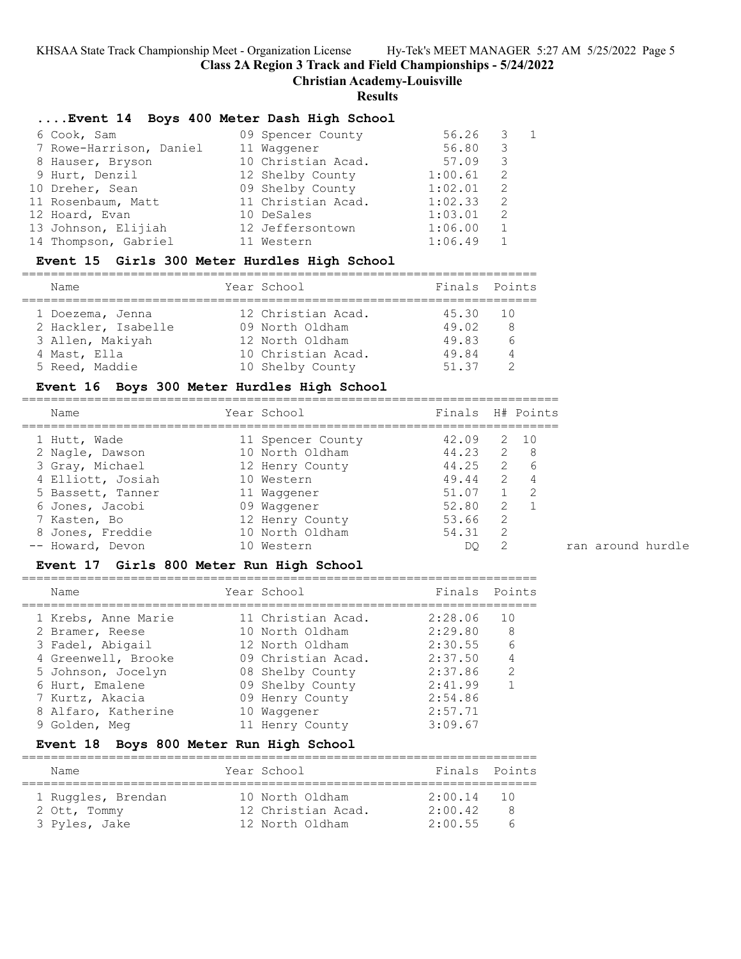**Class 2A Region 3 Track and Field Championships - 5/24/2022**

**Christian Academy-Louisville**

**Results**

#### **....Event 14 Boys 400 Meter Dash High School**

| 6 Cook, Sam             | 09 Spencer County  | 56.26   |    | $\overline{1}$ |
|-------------------------|--------------------|---------|----|----------------|
| 7 Rowe-Harrison, Daniel | 11 Waqqener        | 56.80   | 3  |                |
| 8 Hauser, Bryson        | 10 Christian Acad. | 57.09   | 3  |                |
| 9 Hurt, Denzil          | 12 Shelby County   | 1:00.61 | -2 |                |
| 10 Dreher, Sean         | 09 Shelby County   | 1:02.01 | -2 |                |
| 11 Rosenbaum, Matt      | 11 Christian Acad. | 1:02.33 | -2 |                |
| 12 Hoard, Evan          | 10 DeSales         | 1:03.01 | -2 |                |
| 13 Johnson, Elijiah     | 12 Jeffersontown   | 1:06.00 |    |                |
| 14 Thompson, Gabriel    | 11 Western         | 1:06.49 |    |                |

#### **Event 15 Girls 300 Meter Hurdles High School**

======================================================================= Name Year School Finals Points ======================================================================= 1 Doezema, Jenna 12 Christian Acad. 45.30 10 2 Hackler, Isabelle 09 North Oldham 49.02 8 3 Allen, Makiyah 12 North Oldham 49.83 6 4 Mast, Ella 10 Christian Acad. 49.84 4 5 Reed, Maddie 10 Shelby County 51.37 2

#### **Event 16 Boys 300 Meter Hurdles High School**

| Name              | Year School       | Finals H# Points |               |                |
|-------------------|-------------------|------------------|---------------|----------------|
| 1 Hutt, Wade      | 11 Spencer County | 42.09            | 2             | 10             |
| 2 Nagle, Dawson   | 10 North Oldham   | 44.23            | 2             | - 8            |
| 3 Gray, Michael   | 12 Henry County   | 44.25            | 2             | 6              |
| 4 Elliott, Josiah | 10 Western        | 49.44            | 2             | $\overline{4}$ |
| 5 Bassett, Tanner | 11 Waqqener       | 51.07            |               | 2              |
| 6 Jones, Jacobi   | 09 Waqqener       | 52.80            | 2             |                |
| 7 Kasten, Bo      | 12 Henry County   | 53.66            | $\mathcal{L}$ |                |
| 8 Jones, Freddie  | 10 North Oldham   | 54.31            | 2             |                |
| -- Howard, Devon  | 10 Western        | DO.              | -2            |                |

#### **Event 17 Girls 800 Meter Run High School**

| Name                | Year School        | Finals Points |               |
|---------------------|--------------------|---------------|---------------|
| 1 Krebs, Anne Marie | 11 Christian Acad. | 2:28.06       | 10            |
| 2 Bramer, Reese     | 10 North Oldham    | 2:29.80       | 8             |
| 3 Fadel, Abigail    | 12 North Oldham    | 2:30.55       | 6             |
| 4 Greenwell, Brooke | 09 Christian Acad. | 2:37.50       |               |
| 5 Johnson, Jocelyn  | 08 Shelby County   | 2:37.86       | $\mathcal{L}$ |
| 6 Hurt, Emalene     | 09 Shelby County   | 2:41.99       |               |
| 7 Kurtz, Akacia     | 09 Henry County    | 2:54.86       |               |
| 8 Alfaro, Katherine | 10 Waqqener        | 2:57.71       |               |
| 9 Golden, Mea       | 11 Henry County    | 3:09.67       |               |
|                     |                    |               |               |

#### **Event 18 Boys 800 Meter Run High School**

| Name               | Year School        | Finals Points |        |
|--------------------|--------------------|---------------|--------|
| 1 Ruggles, Brendan | 10 North Oldham    | $2:00.14$ 10  | $\sim$ |
| 2 Ott, Tommy       | 12 Christian Acad. | 2:00.42       |        |
| 3 Pyles, Jake      | 12 North Oldham    | 2:00.55       |        |

=======================================================================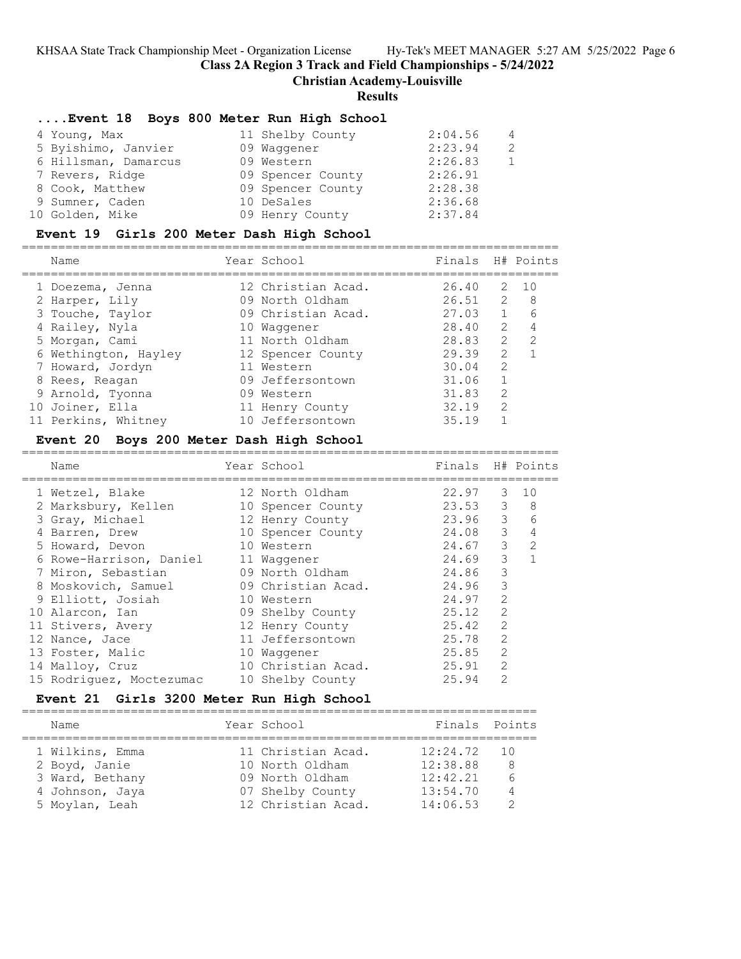**Class 2A Region 3 Track and Field Championships - 5/24/2022**

**Christian Academy-Louisville**

#### **Results**

#### **....Event 18 Boys 800 Meter Run High School**

| 4 Young, Max         | 11 Shelby County  | 2:04.56 | $\overline{4}$ |
|----------------------|-------------------|---------|----------------|
| 5 Byishimo, Janvier  | 09 Waggener       | 2:23.94 | 2              |
| 6 Hillsman, Damarcus | 09 Western        | 2:26.83 |                |
| 7 Revers, Ridge      | 09 Spencer County | 2:26.91 |                |
| 8 Cook, Matthew      | 09 Spencer County | 2:28.38 |                |
| 9 Sumner, Caden      | 10 DeSales        | 2:36.68 |                |
| 10 Golden, Mike      | 09 Henry County   | 2:37.84 |                |

#### **Event 19 Girls 200 Meter Dash High School**

==========================================================================

| Name                 | Year School        | Finals |               | H# Points       |
|----------------------|--------------------|--------|---------------|-----------------|
| 1 Doezema, Jenna     | 12 Christian Acad. | 26.40  | 2             | $\overline{10}$ |
| 2 Harper, Lily       | 09 North Oldham    | 26.51  | 2             | 8               |
| 3 Touche, Taylor     | 09 Christian Acad. | 27.03  |               | 6               |
| 4 Railey, Nyla       | 10 Waqqener        | 28.40  | $\mathcal{L}$ | 4               |
| 5 Morgan, Cami       | 11 North Oldham    | 28.83  | $\mathcal{L}$ | -2              |
| 6 Wethington, Hayley | 12 Spencer County  | 29.39  | $\mathcal{L}$ |                 |
| 7 Howard, Jordyn     | 11 Western         | 30.04  | $\mathcal{L}$ |                 |
| 8 Rees, Reagan       | 09 Jeffersontown   | 31.06  |               |                 |
| 9 Arnold, Tyonna     | 09 Western         | 31.83  | $\mathcal{L}$ |                 |
| 10 Joiner, Ella      | 11 Henry County    | 32.19  | $\mathcal{L}$ |                 |
| 11 Perkins, Whitney  | 10 Jeffersontown   | 35.19  |               |                 |
|                      |                    |        |               |                 |

#### **Event 20 Boys 200 Meter Dash High School**

==========================================================================

| Name                     | Year School        | Finals    |               | H# Points |
|--------------------------|--------------------|-----------|---------------|-----------|
| 1 Wetzel, Blake          | 12 North Oldham    | 22.97     | 3             | 10        |
| 2 Marksbury, Kellen      | 10 Spencer County  | $23.53$ 3 |               | - 8       |
| 3 Gray, Michael          | 12 Henry County    | 23.96 3   |               | 6         |
| 4 Barren, Drew           | 10 Spencer County  | 24.08     | 3             | 4         |
| 5 Howard, Devon          | 10 Western         | 24.67     | $\mathcal{S}$ | 2         |
| 6 Rowe-Harrison, Daniel  | 11 Waqqener        | 24.69     | 3             |           |
| 7 Miron, Sebastian       | 09 North Oldham    | 24.86     | 3             |           |
| 8 Moskovich, Samuel      | 09 Christian Acad. | 24.96     | 3             |           |
| 9 Elliott, Josiah        | 10 Western         | 24.97     | $\mathcal{L}$ |           |
| 10 Alarcon, Ian          | 09 Shelby County   | 25.12     | 2             |           |
| 11 Stivers, Avery        | 12 Henry County    | 25.42     | 2             |           |
| 12 Nance, Jace           | 11 Jeffersontown   | 25.78     | $\mathcal{L}$ |           |
| 13 Foster, Malic         | 10 Waqqener        | 25.85     | 2             |           |
| 14 Malloy, Cruz          | 10 Christian Acad. | 25.91     | $\mathcal{L}$ |           |
| 15 Rodriquez, Moctezumac | 10 Shelby County   | 25.94     | 2             |           |

#### **Event 21 Girls 3200 Meter Run High School**

======================================================================= Name Year School Finals Points ======================================================================= 1 Wilkins, Emma 11 Christian Acad. 12:24.72 10 2 Boyd, Janie 10 North Oldham 12:38.88 8 3 Ward, Bethany 09 North Oldham 12:42.21 6 4 Johnson, Jaya 07 Shelby County 13:54.70 4 5 Moylan, Leah 12 Christian Acad. 14:06.53 2